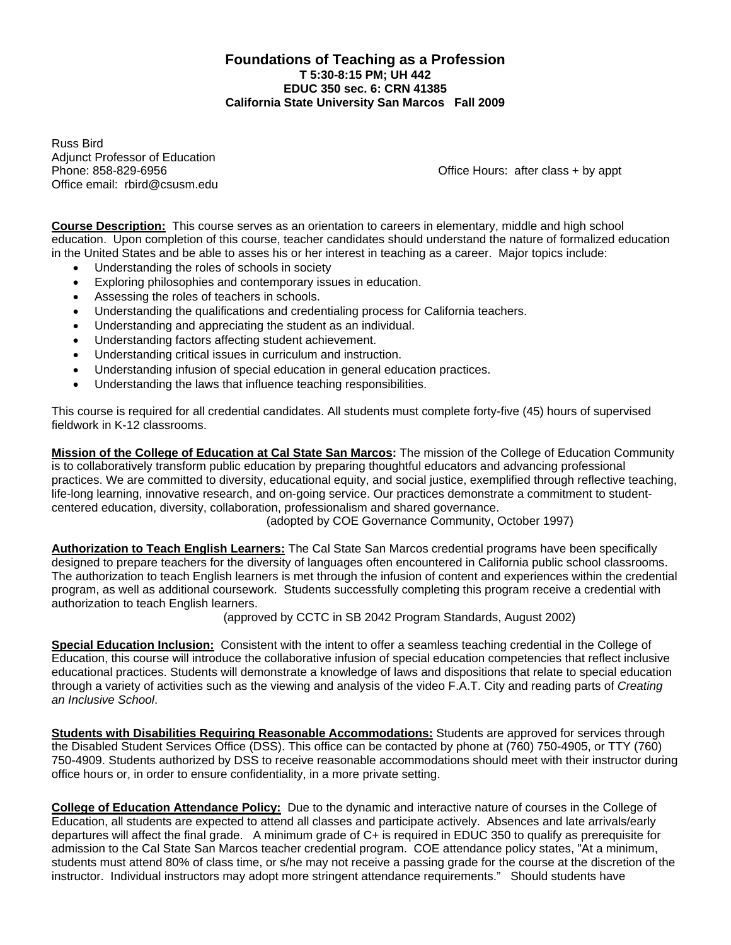#### **Foundations of Teaching as a Profession T 5:30-8:15 PM; UH 442 EDUC 350 sec. 6: CRN 41385 California State University San Marcos Fall 2009**

Russ Bird **Adjunct Professor of Education** Office email: rbird@csusm.edu

Phone: 858-829-6956 **Phone: 858-829-6956** Change is a structure of the Change of Change of Change of Change of Change of Change of Change of Change of Change of Change of Change of Change of Change of Change of Change of C

**Course Description:** This course serves as an orientation to careers in elementary, middle and high school education. Upon completion of this course, teacher candidates should understand the nature of formalized education in the United States and be able to asses his or her interest in teaching as a career. Major topics include:

- Understanding the roles of schools in society
- Exploring philosophies and contemporary issues in education.
- Assessing the roles of teachers in schools.
- Understanding the qualifications and credentialing process for California teachers.
- Understanding and appreciating the student as an individual.
- Understanding factors affecting student achievement.
- Understanding critical issues in curriculum and instruction.
- Understanding infusion of special education in general education practices.
- Understanding the laws that influence teaching responsibilities.

This course is required for all credential candidates. All students must complete forty-five (45) hours of supervised fieldwork in K-12 classrooms.

**Mission of the College of Education at Cal State San Marcos:** The mission of the College of Education Community is to collaboratively transform public education by preparing thoughtful educators and advancing professional practices. We are committed to diversity, educational equity, and social justice, exemplified through reflective teaching, life-long learning, innovative research, and on-going service. Our practices demonstrate a commitment to studentcentered education, diversity, collaboration, professionalism and shared governance.

(adopted by COE Governance Community, October 1997)

**Authorization to Teach English Learners:** The Cal State San Marcos credential programs have been specifically designed to prepare teachers for the diversity of languages often encountered in California public school classrooms. The authorization to teach English learners is met through the infusion of content and experiences within the credential program, as well as additional coursework. Students successfully completing this program receive a credential with authorization to teach English learners.

(approved by CCTC in SB 2042 Program Standards, August 2002)

 **Special Education Inclusion:** Consistent with the intent to offer a seamless teaching credential in the College of Education, this course will introduce the collaborative infusion of special education competencies that reflect inclusive educational practices. Students will demonstrate a knowledge of laws and dispositions that relate to special education through a variety of activities such as the viewing and analysis of the video F.A.T. City and reading parts of *Creating an Inclusive School*.

**Students with Disabilities Requiring Reasonable Accommodations:** Students are approved for services through the Disabled Student Services Office (DSS). This office can be contacted by phone at (760) 750-4905, or TTY (760) 750-4909. Students authorized by DSS to receive reasonable accommodations should meet with their instructor during office hours or, in order to ensure confidentiality, in a more private setting.

**College of Education Attendance Policy:** Due to the dynamic and interactive nature of courses in the College of Education, all students are expected to attend all classes and participate actively. Absences and late arrivals/early departures will affect the final grade. A minimum grade of C+ is required in EDUC 350 to qualify as prerequisite for admission to the Cal State San Marcos teacher credential program. COE attendance policy states, "At a minimum, students must attend 80% of class time, or s/he may not receive a passing grade for the course at the discretion of the instructor. Individual instructors may adopt more stringent attendance requirements." Should students have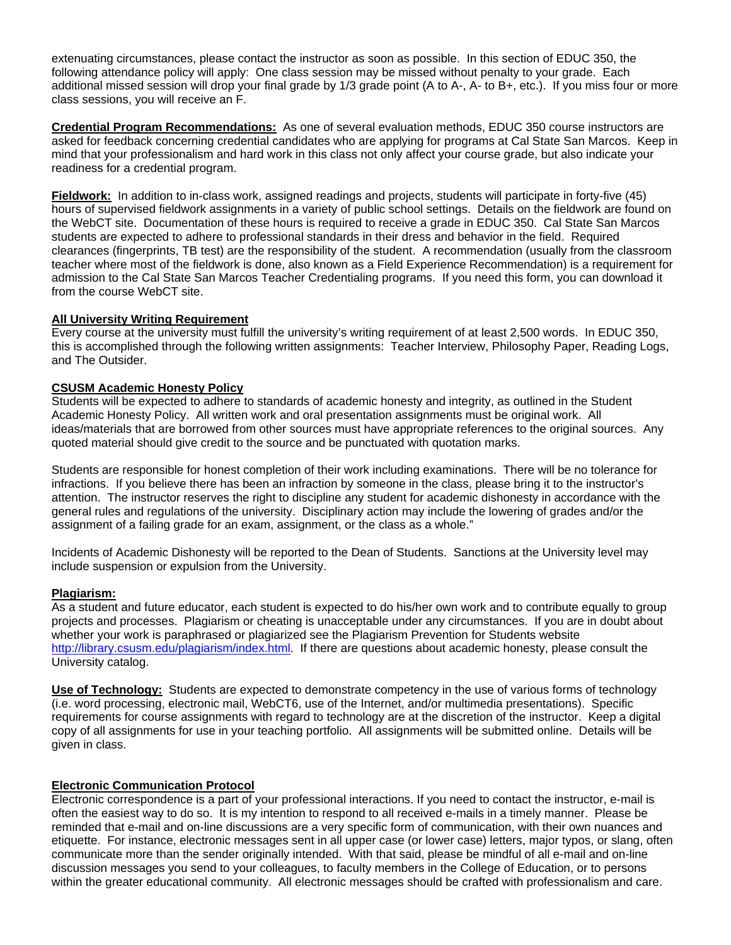extenuating circumstances, please contact the instructor as soon as possible. In this section of EDUC 350, the following attendance policy will apply: One class session may be missed without penalty to your grade. Each additional missed session will drop your final grade by 1/3 grade point (A to A-, A- to B+, etc.). If you miss four or more class sessions, you will receive an F.

**Credential Program Recommendations:** As one of several evaluation methods, EDUC 350 course instructors are asked for feedback concerning credential candidates who are applying for programs at Cal State San Marcos. Keep in mind that your professionalism and hard work in this class not only affect your course grade, but also indicate your readiness for a credential program.

**Fieldwork:** In addition to in-class work, assigned readings and projects, students will participate in forty-five (45) hours of supervised fieldwork assignments in a variety of public school settings. Details on the fieldwork are found on the WebCT site. Documentation of these hours is required to receive a grade in EDUC 350. Cal State San Marcos students are expected to adhere to professional standards in their dress and behavior in the field. Required clearances (fingerprints, TB test) are the responsibility of the student. A recommendation (usually from the classroom teacher where most of the fieldwork is done, also known as a Field Experience Recommendation) is a requirement for admission to the Cal State San Marcos Teacher Credentialing programs. If you need this form, you can download it from the course WebCT site.

#### **All University Writing Requirement**

Every course at the university must fulfill the university's writing requirement of at least 2,500 words. In EDUC 350, this is accomplished through the following written assignments: Teacher Interview, Philosophy Paper, Reading Logs, and The Outsider.

#### **CSUSM Academic Honesty Policy**

Students will be expected to adhere to standards of academic honesty and integrity, as outlined in the Student Academic Honesty Policy. All written work and oral presentation assignments must be original work. All ideas/materials that are borrowed from other sources must have appropriate references to the original sources. Any quoted material should give credit to the source and be punctuated with quotation marks.

Students are responsible for honest completion of their work including examinations. There will be no tolerance for infractions. If you believe there has been an infraction by someone in the class, please bring it to the instructor's attention. The instructor reserves the right to discipline any student for academic dishonesty in accordance with the general rules and regulations of the university. Disciplinary action may include the lowering of grades and/or the assignment of a failing grade for an exam, assignment, or the class as a whole."

Incidents of Academic Dishonesty will be reported to the Dean of Students. Sanctions at the University level may include suspension or expulsion from the University.

#### **Plagiarism:**

As a student and future educator, each student is expected to do his/her own work and to contribute equally to group projects and processes. Plagiarism or cheating is unacceptable under any circumstances. If you are in doubt about whether your work is paraphrased or plagiarized see the Plagiarism Prevention for Students website http://library.csusm.edu/plagiarism/index.html. If there are questions about academic honesty, please consult the University catalog.

**Use of Technology:** Students are expected to demonstrate competency in the use of various forms of technology (i.e. word processing, electronic mail, WebCT6, use of the Internet, and/or multimedia presentations). Specific requirements for course assignments with regard to technology are at the discretion of the instructor. Keep a digital copy of all assignments for use in your teaching portfolio. All assignments will be submitted online. Details will be given in class.

#### **Electronic Communication Protocol**

Electronic correspondence is a part of your professional interactions. If you need to contact the instructor, e-mail is often the easiest way to do so. It is my intention to respond to all received e-mails in a timely manner. Please be reminded that e-mail and on-line discussions are a very specific form of communication, with their own nuances and etiquette. For instance, electronic messages sent in all upper case (or lower case) letters, major typos, or slang, often communicate more than the sender originally intended. With that said, please be mindful of all e-mail and on-line discussion messages you send to your colleagues, to faculty members in the College of Education, or to persons within the greater educational community. All electronic messages should be crafted with professionalism and care.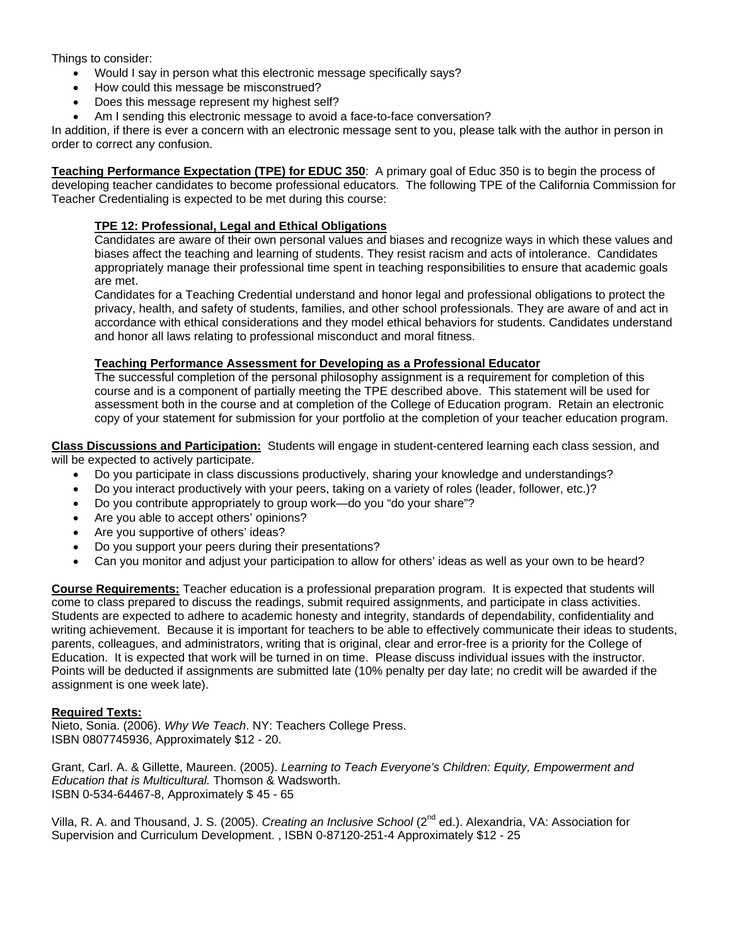Things to consider:

- Would I say in person what this electronic message specifically says?
- How could this message be misconstrued?
- Does this message represent my highest self?
- Am I sending this electronic message to avoid a face-to-face conversation?

In addition, if there is ever a concern with an electronic message sent to you, please talk with the author in person in order to correct any confusion.

**Teaching Performance Expectation (TPE) for EDUC 350**: A primary goal of Educ 350 is to begin the process of developing teacher candidates to become professional educators. The following TPE of the California Commission for Teacher Credentialing is expected to be met during this course:

#### **TPE 12: Professional, Legal and Ethical Obligations**

Candidates are aware of their own personal values and biases and recognize ways in which these values and biases affect the teaching and learning of students. They resist racism and acts of intolerance. Candidates appropriately manage their professional time spent in teaching responsibilities to ensure that academic goals are met.

Candidates for a Teaching Credential understand and honor legal and professional obligations to protect the privacy, health, and safety of students, families, and other school professionals. They are aware of and act in accordance with ethical considerations and they model ethical behaviors for students. Candidates understand and honor all laws relating to professional misconduct and moral fitness.

#### **Teaching Performance Assessment for Developing as a Professional Educator**

The successful completion of the personal philosophy assignment is a requirement for completion of this course and is a component of partially meeting the TPE described above. This statement will be used for assessment both in the course and at completion of the College of Education program. Retain an electronic copy of your statement for submission for your portfolio at the completion of your teacher education program.

**Class Discussions and Participation:** Students will engage in student-centered learning each class session, and will be expected to actively participate.

- Do you participate in class discussions productively, sharing your knowledge and understandings?
- Do you interact productively with your peers, taking on a variety of roles (leader, follower, etc.)?
- Do you contribute appropriately to group work—do you "do your share"?
- Are you able to accept others' opinions?
- Are you supportive of others' ideas?
- Do you support your peers during their presentations?
- Can you monitor and adjust your participation to allow for others' ideas as well as your own to be heard?

**Course Requirements:** Teacher education is a professional preparation program. It is expected that students will come to class prepared to discuss the readings, submit required assignments, and participate in class activities. Students are expected to adhere to academic honesty and integrity, standards of dependability, confidentiality and writing achievement. Because it is important for teachers to be able to effectively communicate their ideas to students, parents, colleagues, and administrators, writing that is original, clear and error-free is a priority for the College of Education. It is expected that work will be turned in on time. Please discuss individual issues with the instructor. Points will be deducted if assignments are submitted late (10% penalty per day late; no credit will be awarded if the assignment is one week late).

#### **Required Texts:**

Nieto, Sonia. (2006). *Why We Teach*. NY: Teachers College Press. ISBN 0807745936, Approximately \$12 - 20.

Grant, Carl. A. & Gillette, Maureen. (2005). *Learning to Teach Everyone's Children: Equity, Empowerment and Education that is Multicultural.* Thomson & Wadsworth. ISBN 0-534-64467-8, Approximately \$ 45 - 65

Villa, R. A. and Thousand, J. S. (2005). *Creating an Inclusive School* (2nd ed.). Alexandria, VA: Association for Supervision and Curriculum Development. , ISBN 0-87120-251-4 Approximately \$12 - 25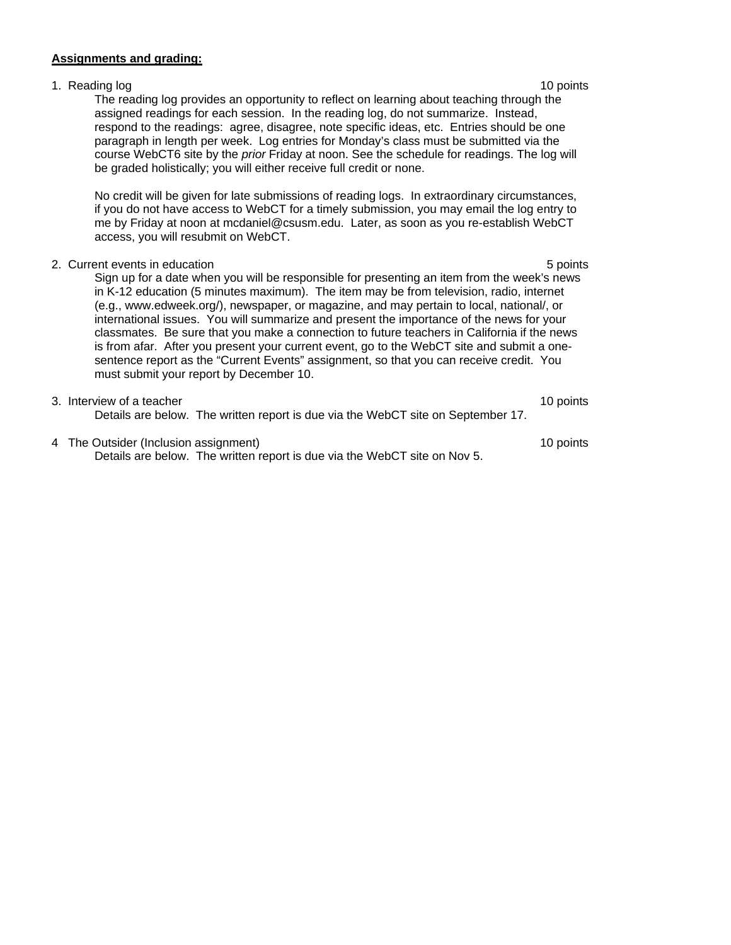#### **Assignments and grading:**

# 1. Reading log 10 points and 10 points and 10 points and 10 points are not been applied by the 10 points of the 10 points and 10 points are not been applied by the 10 points of the 10 points and 10 points are not been appl The reading log provides an opportunity to reflect on learning about teaching through the assigned readings for each session. In the reading log, do not summarize. Instead, respond to the readings: agree, disagree, note specific ideas, etc. Entries should be one paragraph in length per week. Log entries for Monday's class must be submitted via the course WebCT6 site by the *prior* Friday at noon. See the schedule for readings. The log will be graded holistically; you will either receive full credit or none. No credit will be given for late submissions of reading logs. In extraordinary circumstances, if you do not have access to WebCT for a timely submission, you may email the log entry to me by Friday at noon at mcdaniel@csusm.edu. Later, as soon as you re-establish WebCT access, you will resubmit on WebCT. 2. Current events in education 6 points in the set of the set of the set of the set of the set of the set of the set of the set of the set of the set of the set of the set of the set of the set of the set of the set of the Sign up for a date when you will be responsible for presenting an item from the week's news in K-12 education (5 minutes maximum). The item may be from television, radio, internet (e.g., www.edweek.org/), newspaper, or magazine, and may pertain to local, national/, or international issues. You will summarize and present the importance of the news for your classmates. Be sure that you make a connection to future teachers in California if the news is from afar. After you present your current event, go to the WebCT site and submit a onesentence report as the "Current Events" assignment, so that you can receive credit. You must submit your report by December 10. 3. Interview of a teacher 10 points and the set of a teacher 10 points of a teacher 10 points of a teacher 10 points of a teacher 10 points of a teacher 10 points of a teacher 10 points of a teacher 10 points of a teacher Details are below. The written report is due via the WebCT site on September 17.

4 The Outsider (Inclusion assignment) 10 points Details are below. The written report is due via the WebCT site on Nov 5.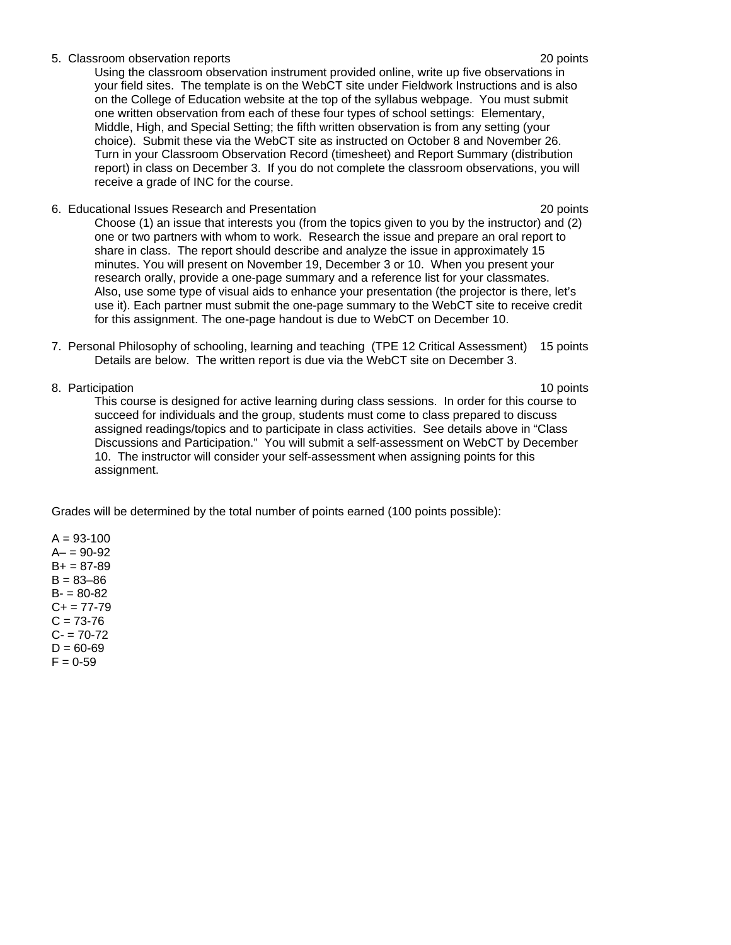#### 5. Classroom observation reports 20 points

Using the classroom observation instrument provided online, write up five observations in your field sites. The template is on the WebCT site under Fieldwork Instructions and is also on the College of Education website at the top of the syllabus webpage. You must submit one written observation from each of these four types of school settings: Elementary, Middle, High, and Special Setting; the fifth written observation is from any setting (your choice). Submit these via the WebCT site as instructed on October 8 and November 26. Turn in your Classroom Observation Record (timesheet) and Report Summary (distribution report) in class on December 3. If you do not complete the classroom observations, you will receive a grade of INC for the course.

- 6. Educational Issues Research and Presentation 20 points Choose (1) an issue that interests you (from the topics given to you by the instructor) and (2) one or two partners with whom to work. Research the issue and prepare an oral report to share in class. The report should describe and analyze the issue in approximately 15 minutes. You will present on November 19, December 3 or 10. When you present your research orally, provide a one-page summary and a reference list for your classmates. Also, use some type of visual aids to enhance your presentation (the projector is there, let's use it). Each partner must submit the one-page summary to the WebCT site to receive credit for this assignment. The one-page handout is due to WebCT on December 10.
- 7. Personal Philosophy of schooling, learning and teaching (TPE 12 Critical Assessment) 15 points Details are below. The written report is due via the WebCT site on December 3.
- 

8. Participation 10 points and the set of the set of the set of the set of the set of the set of the set of the set of the set of the set of the set of the set of the set of the set of the set of the set of the set of the This course is designed for active learning during class sessions. In order for this course to succeed for individuals and the group, students must come to class prepared to discuss assigned readings/topics and to participate in class activities. See details above in "Class Discussions and Participation." You will submit a self-assessment on WebCT by December 10. The instructor will consider your self-assessment when assigning points for this assignment.

Grades will be determined by the total number of points earned (100 points possible):

 $A = 93 - 100$  $A - 90 - 92$  $B+ = 87-89$  $B = 83 - 86$  $B - 80 - 82$  $C_{+}$  = 77-79  $C = 73-76$  $C - 70 - 72$  $D = 60 - 69$  $F = 0-59$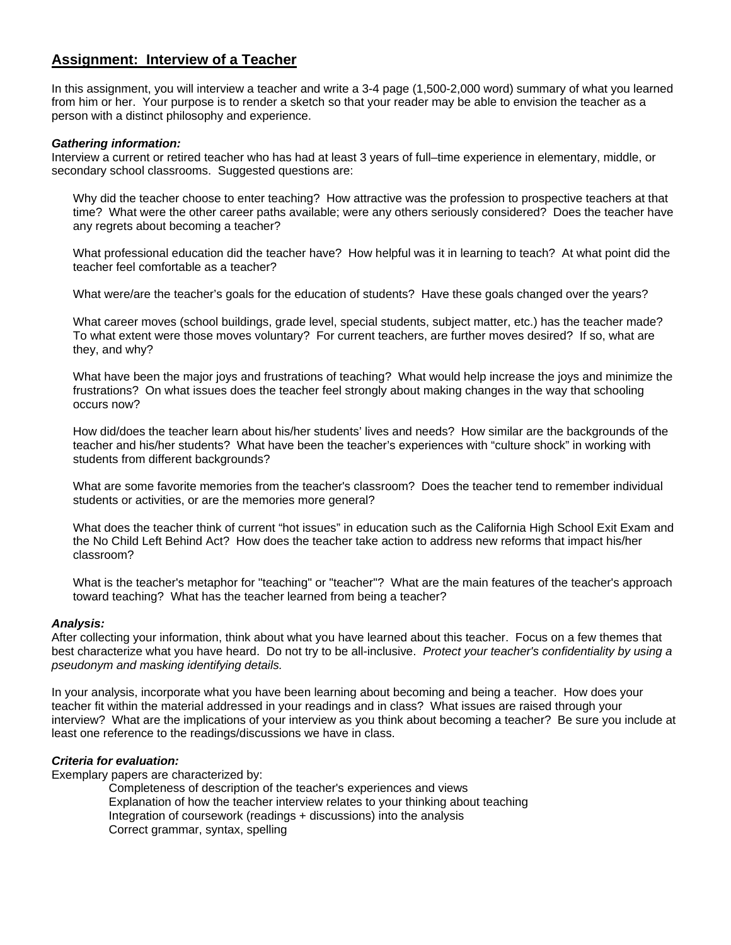# **Assignment: Interview of a Teacher**

In this assignment, you will interview a teacher and write a 3-4 page (1,500-2,000 word) summary of what you learned from him or her. Your purpose is to render a sketch so that your reader may be able to envision the teacher as a person with a distinct philosophy and experience.

#### *Gathering information:*

Interview a current or retired teacher who has had at least 3 years of full–time experience in elementary, middle, or secondary school classrooms. Suggested questions are:

Why did the teacher choose to enter teaching? How attractive was the profession to prospective teachers at that time? What were the other career paths available; were any others seriously considered? Does the teacher have any regrets about becoming a teacher?

What professional education did the teacher have? How helpful was it in learning to teach? At what point did the teacher feel comfortable as a teacher?

What were/are the teacher's goals for the education of students? Have these goals changed over the years?

What career moves (school buildings, grade level, special students, subject matter, etc.) has the teacher made? To what extent were those moves voluntary? For current teachers, are further moves desired? If so, what are they, and why?

What have been the major joys and frustrations of teaching? What would help increase the joys and minimize the frustrations? On what issues does the teacher feel strongly about making changes in the way that schooling occurs now?

How did/does the teacher learn about his/her students' lives and needs? How similar are the backgrounds of the teacher and his/her students? What have been the teacher's experiences with "culture shock" in working with students from different backgrounds?

What are some favorite memories from the teacher's classroom? Does the teacher tend to remember individual students or activities, or are the memories more general?

What does the teacher think of current "hot issues" in education such as the California High School Exit Exam and the No Child Left Behind Act? How does the teacher take action to address new reforms that impact his/her classroom?

What is the teacher's metaphor for "teaching" or "teacher"? What are the main features of the teacher's approach toward teaching? What has the teacher learned from being a teacher?

#### *Analysis:*

After collecting your information, think about what you have learned about this teacher. Focus on a few themes that best characterize what you have heard. Do not try to be all-inclusive. *Protect your teacher's confidentiality by using a pseudonym and masking identifying details.* 

In your analysis, incorporate what you have been learning about becoming and being a teacher. How does your teacher fit within the material addressed in your readings and in class? What issues are raised through your interview? What are the implications of your interview as you think about becoming a teacher? Be sure you include at least one reference to the readings/discussions we have in class.

#### *Criteria for evaluation:*

Exemplary papers are characterized by:

Completeness of description of the teacher's experiences and views Explanation of how the teacher interview relates to your thinking about teaching Integration of coursework (readings + discussions) into the analysis Correct grammar, syntax, spelling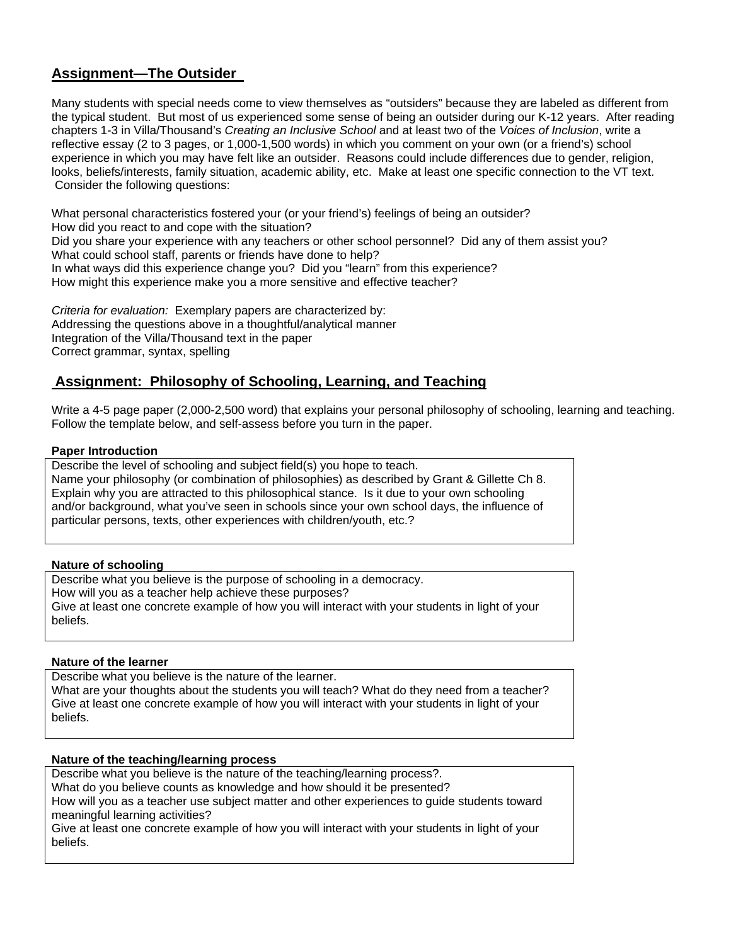# **Assignment—The Outsider**

Many students with special needs come to view themselves as "outsiders" because they are labeled as different from the typical student. But most of us experienced some sense of being an outsider during our K-12 years. After reading chapters 1-3 in Villa/Thousand's *Creating an Inclusive School* and at least two of the *Voices of Inclusion*, write a reflective essay (2 to 3 pages, or 1,000-1,500 words) in which you comment on your own (or a friend's) school experience in which you may have felt like an outsider. Reasons could include differences due to gender, religion, looks, beliefs/interests, family situation, academic ability, etc. Make at least one specific connection to the VT text. Consider the following questions:

What personal characteristics fostered your (or your friend's) feelings of being an outsider? How did you react to and cope with the situation? Did you share your experience with any teachers or other school personnel? Did any of them assist you? What could school staff, parents or friends have done to help? In what ways did this experience change you? Did you "learn" from this experience? How might this experience make you a more sensitive and effective teacher?

*Criteria for evaluation:* Exemplary papers are characterized by: Addressing the questions above in a thoughtful/analytical manner Integration of the Villa/Thousand text in the paper Correct grammar, syntax, spelling

# **Assignment: Philosophy of Schooling, Learning, and Teaching**

Write a 4-5 page paper (2,000-2,500 word) that explains your personal philosophy of schooling, learning and teaching. Follow the template below, and self-assess before you turn in the paper.

#### **Paper Introduction**

Describe the level of schooling and subject field(s) you hope to teach. Name your philosophy (or combination of philosophies) as described by Grant & Gillette Ch 8. Explain why you are attracted to this philosophical stance. Is it due to your own schooling and/or background, what you've seen in schools since your own school days, the influence of particular persons, texts, other experiences with children/youth, etc.?

#### **Nature of schooling**

Describe what you believe is the purpose of schooling in a democracy. How will you as a teacher help achieve these purposes? Give at least one concrete example of how you will interact with your students in light of your beliefs.

### **Nature of the learner**

Describe what you believe is the nature of the learner. What are your thoughts about the students you will teach? What do they need from a teacher? Give at least one concrete example of how you will interact with your students in light of your beliefs.

#### **Nature of the teaching/learning process**

Describe what you believe is the nature of the teaching/learning process?. What do you believe counts as knowledge and how should it be presented? How will you as a teacher use subject matter and other experiences to guide students toward meaningful learning activities?

Give at least one concrete example of how you will interact with your students in light of your beliefs.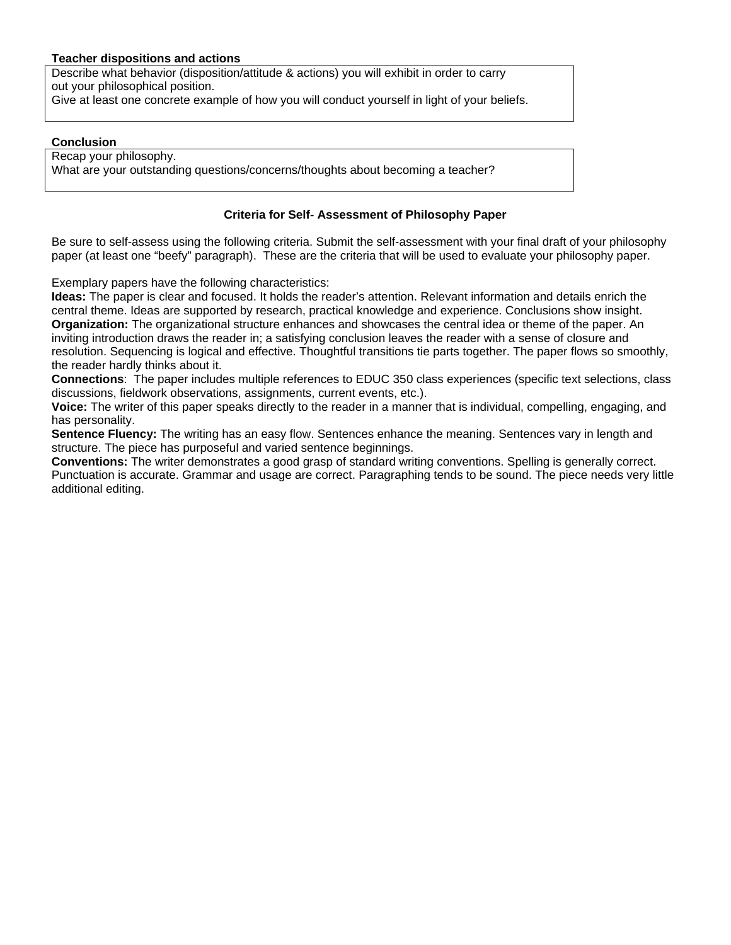#### **Teacher dispositions and actions**

Describe what behavior (disposition/attitude & actions) you will exhibit in order to carry out your philosophical position. Give at least one concrete example of how you will conduct yourself in light of your beliefs.

#### **Conclusion**

Recap your philosophy. What are your outstanding questions/concerns/thoughts about becoming a teacher?

#### **Criteria for Self- Assessment of Philosophy Paper**

Be sure to self-assess using the following criteria. Submit the self-assessment with your final draft of your philosophy paper (at least one "beefy" paragraph). These are the criteria that will be used to evaluate your philosophy paper.

Exemplary papers have the following characteristics:

**Ideas:** The paper is clear and focused. It holds the reader's attention. Relevant information and details enrich the central theme. Ideas are supported by research, practical knowledge and experience. Conclusions show insight. **Organization:** The organizational structure enhances and showcases the central idea or theme of the paper. An inviting introduction draws the reader in; a satisfying conclusion leaves the reader with a sense of closure and resolution. Sequencing is logical and effective. Thoughtful transitions tie parts together. The paper flows so smoothly, the reader hardly thinks about it.

**Connections**: The paper includes multiple references to EDUC 350 class experiences (specific text selections, class discussions, fieldwork observations, assignments, current events, etc.).

**Voice:** The writer of this paper speaks directly to the reader in a manner that is individual, compelling, engaging, and has personality.

**Sentence Fluency:** The writing has an easy flow. Sentences enhance the meaning. Sentences vary in length and structure. The piece has purposeful and varied sentence beginnings.

**Conventions:** The writer demonstrates a good grasp of standard writing conventions. Spelling is generally correct. Punctuation is accurate. Grammar and usage are correct. Paragraphing tends to be sound. The piece needs very little additional editing.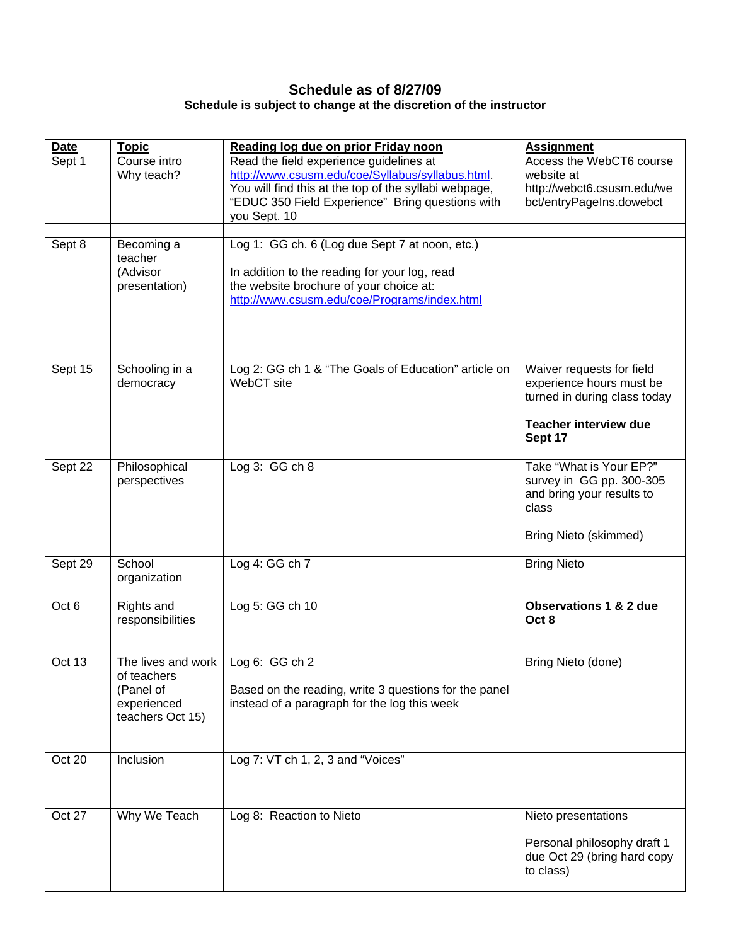## **Schedule as of 8/27/09 Schedule is subject to change at the discretion of the instructor**

| <b>Date</b>      | <b>Topic</b>                                                                      | Reading log due on prior Friday noon                                                                                                                                                                                     | <b>Assignment</b>                                                                                                                |
|------------------|-----------------------------------------------------------------------------------|--------------------------------------------------------------------------------------------------------------------------------------------------------------------------------------------------------------------------|----------------------------------------------------------------------------------------------------------------------------------|
| Sept 1           | Course intro<br>Why teach?                                                        | Read the field experience guidelines at<br>http://www.csusm.edu/coe/Syllabus/syllabus.html.<br>You will find this at the top of the syllabi webpage,<br>"EDUC 350 Field Experience" Bring questions with<br>you Sept. 10 | Access the WebCT6 course<br>website at<br>http://webct6.csusm.edu/we<br>bct/entryPageIns.dowebct                                 |
| Sept 8           | Becoming a<br>teacher<br>(Advisor<br>presentation)                                | Log 1: GG ch. 6 (Log due Sept 7 at noon, etc.)<br>In addition to the reading for your log, read<br>the website brochure of your choice at:<br>http://www.csusm.edu/coe/Programs/index.html                               |                                                                                                                                  |
| Sept 15          | Schooling in a<br>democracy                                                       | Log 2: GG ch 1 & "The Goals of Education" article on<br>WebCT site                                                                                                                                                       | Waiver requests for field<br>experience hours must be<br>turned in during class today<br><b>Teacher interview due</b><br>Sept 17 |
| Sept 22          | Philosophical<br>perspectives                                                     | Log $3:GGch8$                                                                                                                                                                                                            | Take "What is Your EP?"<br>survey in GG pp. 300-305<br>and bring your results to<br>class<br><b>Bring Nieto (skimmed)</b>        |
| Sept 29          | School<br>organization                                                            | Log 4: GG ch 7                                                                                                                                                                                                           | <b>Bring Nieto</b>                                                                                                               |
| Oct <sub>6</sub> | Rights and<br>responsibilities                                                    | Log 5: GG ch 10                                                                                                                                                                                                          | <b>Observations 1 &amp; 2 due</b><br>Oct 8                                                                                       |
| Oct 13           | The lives and work<br>of teachers<br>(Panel of<br>experienced<br>teachers Oct 15) | Log 6: GG ch 2<br>Based on the reading, write 3 questions for the panel<br>instead of a paragraph for the log this week                                                                                                  | Bring Nieto (done)                                                                                                               |
| Oct 20           | Inclusion                                                                         | Log 7: VT ch 1, 2, 3 and "Voices"                                                                                                                                                                                        |                                                                                                                                  |
| Oct 27           | Why We Teach                                                                      | Log 8: Reaction to Nieto                                                                                                                                                                                                 | Nieto presentations<br>Personal philosophy draft 1<br>due Oct 29 (bring hard copy<br>to class)                                   |